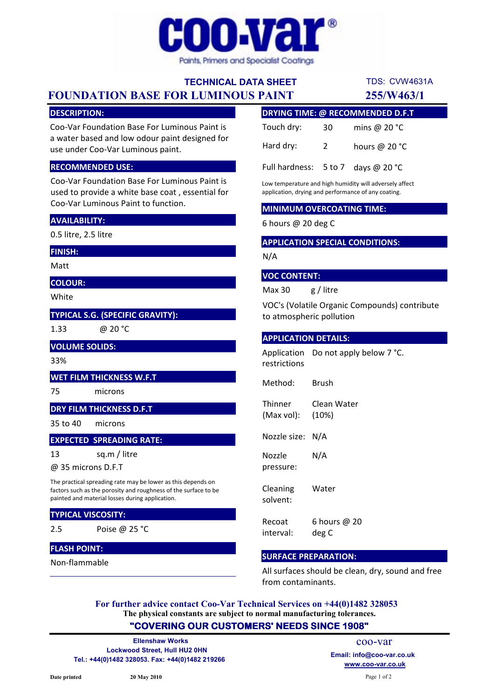

# TECHNICAL DATA SHEET

FOUNDATION BASE FOR LUMINOUS PAINT 255/W463/1

## DESCRIPTION:

Coo-Var Foundation Base For Luminous Paint is a water based and low odour paint designed for use under Coo-Var Luminous paint.

#### RECOMMENDED USE:

Coo-Var Foundation Base For Luminous Paint is used to provide a white base coat , essential for Coo-Var Luminous Paint to function.

## AVAILABILITY:

0.5 litre, 2.5 litre

#### FINISH:

Matt

COLOUR:

White

## TYPICAL S.G. (SPECIFIC GRAVITY):

1.33

@ 20 °C

# VOLUME SOLIDS:

33%

13

## WET FILM THICKNESS W.F.T

75 microns

## DRY FILM THICKNESS D.F.T

35 to 40 microns

### EXPECTED SPREADING RATE:

sq.m / litre

@ 35 microns D.F.T

The practical spreading rate may be lower as this depends on factors such as the porosity and roughness of the surface to be painted and material losses during application.

#### TYPICAL VISCOSITY:

2.5 Poise @ 25 °C

## FLASH POINT:

Non-flammable

| <b>DRYING TIME: @ RECOMMENDED D.F.T</b>       |                |                 |
|-----------------------------------------------|----------------|-----------------|
| Touch dry:                                    | 30             | mins @ $20 °C$  |
| Hard dry:                                     | $\overline{2}$ | hours @ $20 °C$ |
| Full hardness: $5 \text{ to } 7$ days @ 20 °C |                |                 |

TDS: CVW4631A

Low temperature and high humidity will adversely affect application, drying and performance of any coating.

#### MINIMUM OVERCOATING TIME:

6 hours @ 20 deg C

## APPLICATION SPECIAL CONDITIONS:

N/A

#### VOC CONTENT:

Max 30 g / litre

VOC's (Volatile Organic Compounds) contribute to atmospheric pollution

#### APPLICATION DETAILS:

Application Do not apply below 7 °C. restrictions

Method: Brush

**Thinner** (Max vol): Clean Water (10%)

Nozzle size: N/A

Nozzle pressure: N/A

Cleaning solvent: Water

Recoat interval: 6 hours @ 20 deg C

#### SURFACE PREPARATION:

All surfaces should be clean, dry, sound and free from contaminants.

The physical constants are subject to normal manufacturing tolerances. For further advice contact Coo-Var Technical Services on +44(0)1482 328053

## "COVERING OUR CUSTOMERS' NEEDS SINCE 1908"

Lockwood Street, Hull HU2 0HN Tel.: +44(0)1482 328053. Fax: +44(0)1482 219266 Ellenshaw Works

www.coo-var.co.uk coo-var Email: info@coo-var.co.uk

Page 1 of 2